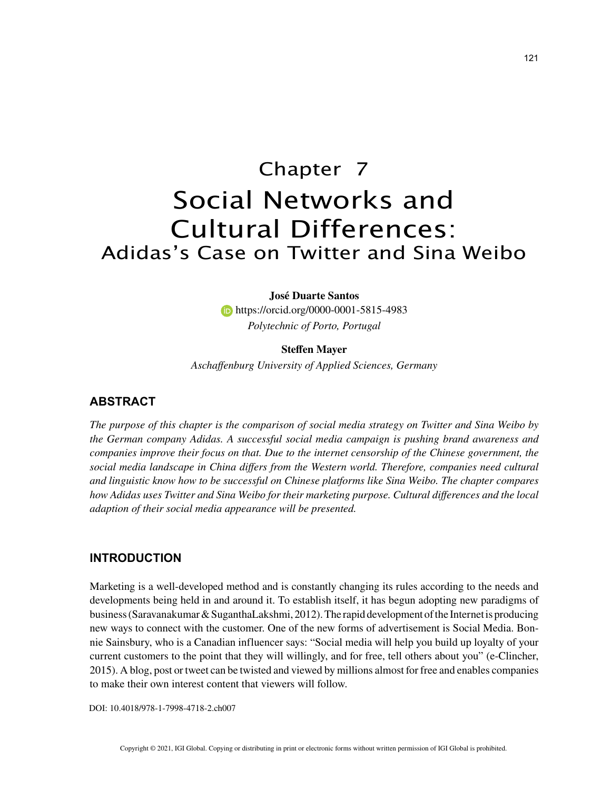# Chapter 7 Social Networks and Cultural Differences: Adidas's Case on Twitter and Sina Weibo

## **José Duarte Santos**

**https://orcid.org/0000-0001-5815-4983** *Polytechnic of Porto, Portugal*

## **Steffen Mayer**

*Aschaffenburg University of Applied Sciences, Germany*

# **ABSTRACT**

*The purpose of this chapter is the comparison of social media strategy on Twitter and Sina Weibo by the German company Adidas. A successful social media campaign is pushing brand awareness and companies improve their focus on that. Due to the internet censorship of the Chinese government, the social media landscape in China differs from the Western world. Therefore, companies need cultural and linguistic know how to be successful on Chinese platforms like Sina Weibo. The chapter compares how Adidas uses Twitter and Sina Weibo for their marketing purpose. Cultural differences and the local adaption of their social media appearance will be presented.*

## **INTRODUCTION**

Marketing is a well-developed method and is constantly changing its rules according to the needs and developments being held in and around it. To establish itself, it has begun adopting new paradigms of business (Saravanakumar & SuganthaLakshmi, 2012). The rapid development of the Internet is producing new ways to connect with the customer. One of the new forms of advertisement is Social Media. Bonnie Sainsbury, who is a Canadian influencer says: "Social media will help you build up loyalty of your current customers to the point that they will willingly, and for free, tell others about you" (e-Clincher, 2015). A blog, post or tweet can be twisted and viewed by millions almost for free and enables companies to make their own interest content that viewers will follow.

DOI: 10.4018/978-1-7998-4718-2.ch007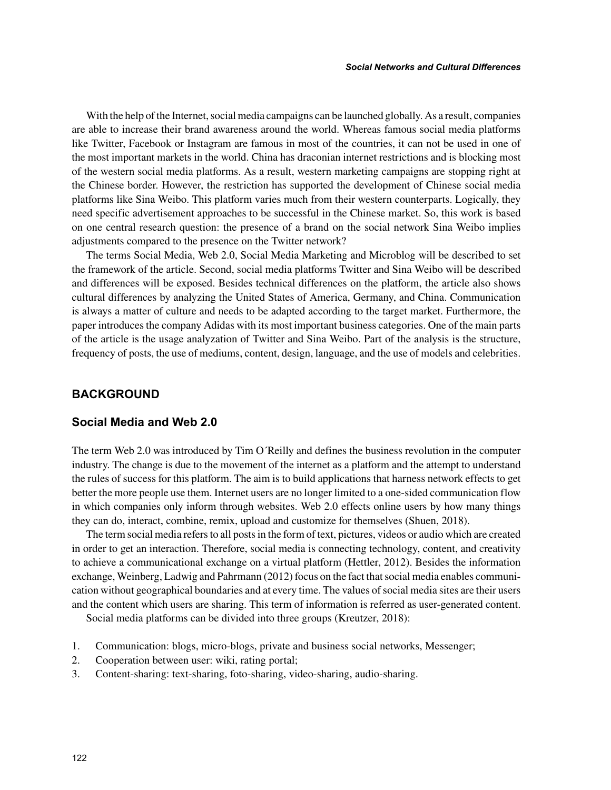With the help of the Internet, social media campaigns can be launched globally. As a result, companies are able to increase their brand awareness around the world. Whereas famous social media platforms like Twitter, Facebook or Instagram are famous in most of the countries, it can not be used in one of the most important markets in the world. China has draconian internet restrictions and is blocking most of the western social media platforms. As a result, western marketing campaigns are stopping right at the Chinese border. However, the restriction has supported the development of Chinese social media platforms like Sina Weibo. This platform varies much from their western counterparts. Logically, they need specific advertisement approaches to be successful in the Chinese market. So, this work is based on one central research question: the presence of a brand on the social network Sina Weibo implies adjustments compared to the presence on the Twitter network?

The terms Social Media, Web 2.0, Social Media Marketing and Microblog will be described to set the framework of the article. Second, social media platforms Twitter and Sina Weibo will be described and differences will be exposed. Besides technical differences on the platform, the article also shows cultural differences by analyzing the United States of America, Germany, and China. Communication is always a matter of culture and needs to be adapted according to the target market. Furthermore, the paper introduces the company Adidas with its most important business categories. One of the main parts of the article is the usage analyzation of Twitter and Sina Weibo. Part of the analysis is the structure, frequency of posts, the use of mediums, content, design, language, and the use of models and celebrities.

# **BACKGROUND**

# **Social Media and Web 2.0**

The term Web 2.0 was introduced by Tim O´Reilly and defines the business revolution in the computer industry. The change is due to the movement of the internet as a platform and the attempt to understand the rules of success for this platform. The aim is to build applications that harness network effects to get better the more people use them. Internet users are no longer limited to a one-sided communication flow in which companies only inform through websites. Web 2.0 effects online users by how many things they can do, interact, combine, remix, upload and customize for themselves (Shuen, 2018).

The term social media refers to all posts in the form of text, pictures, videos or audio which are created in order to get an interaction. Therefore, social media is connecting technology, content, and creativity to achieve a communicational exchange on a virtual platform (Hettler, 2012). Besides the information exchange, Weinberg, Ladwig and Pahrmann (2012) focus on the fact that social media enables communication without geographical boundaries and at every time. The values of social media sites are their users and the content which users are sharing. This term of information is referred as user-generated content.

Social media platforms can be divided into three groups (Kreutzer, 2018):

- 1. Communication: blogs, micro-blogs, private and business social networks, Messenger;
- 2. Cooperation between user: wiki, rating portal;
- 3. Content-sharing: text-sharing, foto-sharing, video-sharing, audio-sharing.